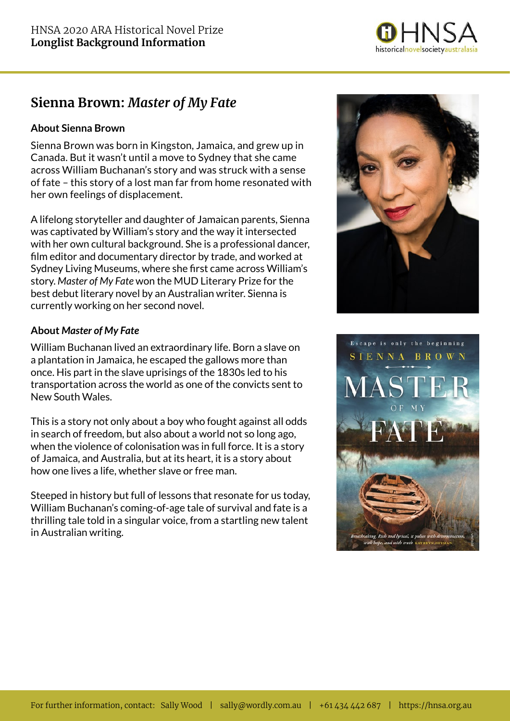

## **Sienna Brown:** *Master of My Fate*

### **About Sienna Brown**

Sienna Brown was born in Kingston, Jamaica, and grew up in Canada. But it wasn't until a move to Sydney that she came across William Buchanan's story and was struck with a sense of fate – this story of a lost man far from home resonated with her own feelings of displacement.

A lifelong storyteller and daughter of Jamaican parents, Sienna was captivated by William's story and the way it intersected with her own cultural background. She is a professional dancer, film editor and documentary director by trade, and worked at Sydney Living Museums, where she first came across William's story. *Master of My Fate* won the MUD Literary Prize for the best debut literary novel by an Australian writer. Sienna is currently working on her second novel.

### **About** *Master of My Fate*

William Buchanan lived an extraordinary life. Born a slave on a plantation in Jamaica, he escaped the gallows more than once. His part in the slave uprisings of the 1830s led to his transportation across the world as one of the convicts sent to New South Wales.

This is a story not only about a boy who fought against all odds in search of freedom, but also about a world not so long ago, when the violence of colonisation was in full force. It is a story of Jamaica, and Australia, but at its heart, it is a story about how one lives a life, whether slave or free man.

Steeped in history but full of lessons that resonate for us today, William Buchanan's coming-of-age tale of survival and fate is a thrilling tale told in a singular voice, from a startling new talent in Australian writing.



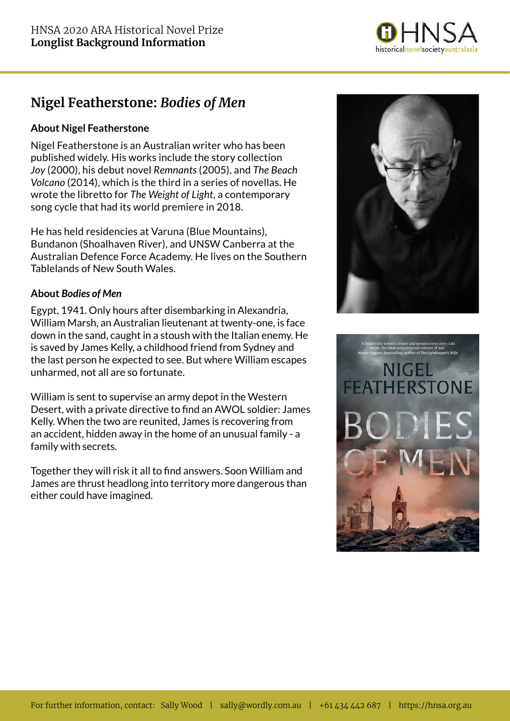

# **Nigel Featherstone:** *Bodies of Men*

### **About Nigel Featherstone**

Nigel Featherstone is an Australian writer who has been published widely. His works include the story collection *Joy* (2000), his debut novel *Remnants* (2005), and *The Beach Volcano* (2014), which is the third in a series of novellas. He wrote the libretto for *The Weight of Light*, a contemporary song cycle that had its world premiere in 2018.

He has held residencies at Varuna (Blue Mountains), Bundanon (Shoalhaven River), and UNSW Canberra at the Australian Defence Force Academy. He lives on the Southern Tablelands of New South Wales.

### **About** *Bodies of Men*

Egypt, 1941. Only hours after disembarking in Alexandria, William Marsh, an Australian lieutenant at twenty-one, is face down in the sand, caught in a stoush with the Italian enemy. He is saved by James Kelly, a childhood friend from Sydney and the last person he expected to see. But where William escapes unharmed, not all are so fortunate.

William is sent to supervise an army depot in the Western Desert, with a private directive to find an AWOL soldier: James Kelly. When the two are reunited, James is recovering from an accident, hidden away in the home of an unusual family - a family with secrets.

Together they will risk it all to find answers. Soon William and James are thrust headlong into territory more dangerous than either could have imagined.



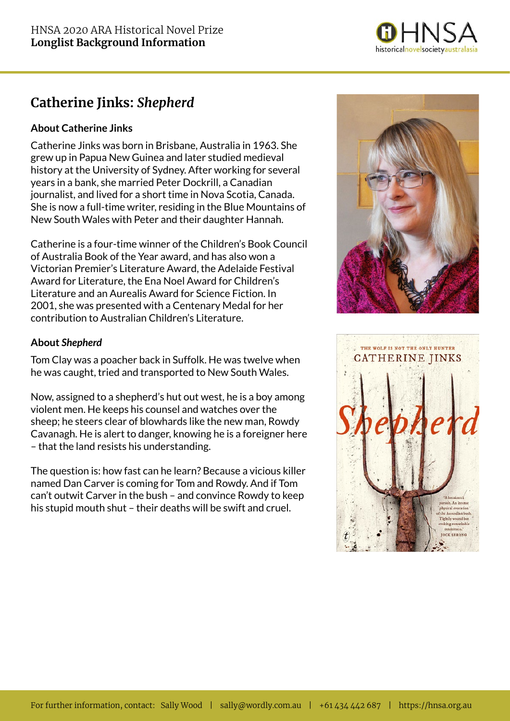

# **Catherine Jinks:** *Shepherd*

## **About Catherine Jinks**

Catherine Jinks was born in Brisbane, Australia in 1963. She grew up in Papua New Guinea and later studied medieval history at the University of Sydney. After working for several years in a bank, she married Peter Dockrill, a Canadian journalist, and lived for a short time in Nova Scotia, Canada. She is now a full-time writer, residing in the Blue Mountains of New South Wales with Peter and their daughter Hannah.

Catherine is a four-time winner of the Children's Book Council of Australia Book of the Year award, and has also won a Victorian Premier's Literature Award, the Adelaide Festival Award for Literature, the Ena Noel Award for Children's Literature and an Aurealis Award for Science Fiction. In 2001, she was presented with a Centenary Medal for her contribution to Australian Children's Literature.

## **About** *Shepherd*

Tom Clay was a poacher back in Suffolk. He was twelve when he was caught, tried and transported to New South Wales.

Now, assigned to a shepherd's hut out west, he is a boy among violent men. He keeps his counsel and watches over the sheep; he steers clear of blowhards like the new man, Rowdy Cavanagh. He is alert to danger, knowing he is a foreigner here – that the land resists his understanding.

The question is: how fast can he learn? Because a vicious killer named Dan Carver is coming for Tom and Rowdy. And if Tom can't outwit Carver in the bush – and convince Rowdy to keep his stupid mouth shut – their deaths will be swift and cruel.



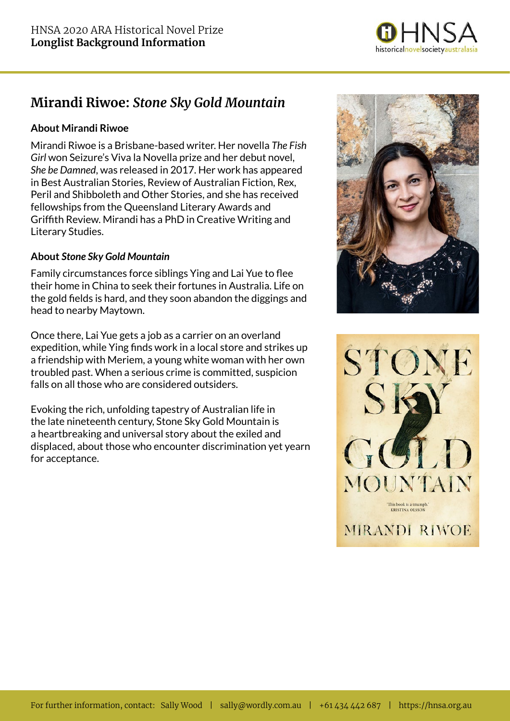

# **Mirandi Riwoe:** *Stone Sky Gold Mountain*

### **About Mirandi Riwoe**

Mirandi Riwoe is a Brisbane-based writer. Her novella *The Fish Girl* won Seizure's Viva la Novella prize and her debut novel, *She be Damned*, was released in 2017. Her work has appeared in Best Australian Stories, Review of Australian Fiction, Rex, Peril and Shibboleth and Other Stories, and she has received fellowships from the Queensland Literary Awards and Griffith Review. Mirandi has a PhD in Creative Writing and Literary Studies.

#### **About** *Stone Sky Gold Mountain*

Family circumstances force siblings Ying and Lai Yue to flee their home in China to seek their fortunes in Australia. Life on the gold fields is hard, and they soon abandon the diggings and head to nearby Maytown.

Once there, Lai Yue gets a job as a carrier on an overland expedition, while Ying finds work in a local store and strikes up a friendship with Meriem, a young white woman with her own troubled past. When a serious crime is committed, suspicion falls on all those who are considered outsiders.

Evoking the rich, unfolding tapestry of Australian life in the late nineteenth century, Stone Sky Gold Mountain is a heartbreaking and universal story about the exiled and displaced, about those who encounter discrimination yet yearn for acceptance.



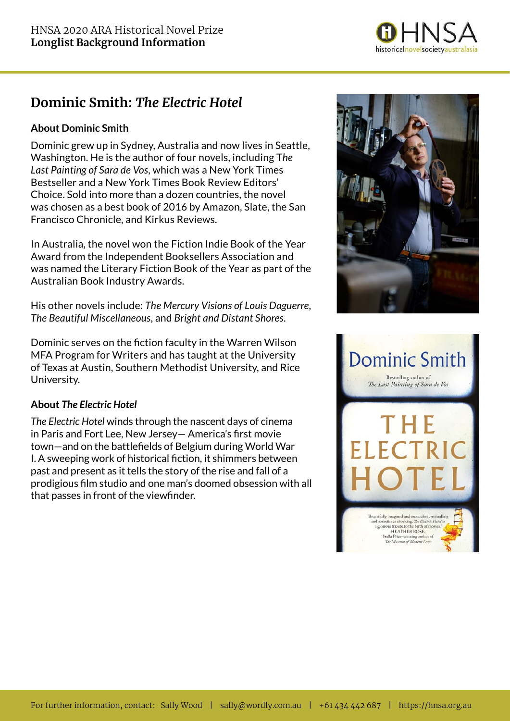

# **Dominic Smith:** *The Electric Hotel*

## **About Dominic Smith**

Dominic grew up in Sydney, Australia and now lives in Seattle, Washington. He is the author of four novels, including T*he Last Painting of Sara de Vos*, which was a New York Times Bestseller and a New York Times Book Review Editors' Choice. Sold into more than a dozen countries, the novel was chosen as a best book of 2016 by Amazon, Slate, the San Francisco Chronicle, and Kirkus Reviews.

In Australia, the novel won the Fiction Indie Book of the Year Award from the Independent Booksellers Association and was named the Literary Fiction Book of the Year as part of the Australian Book Industry Awards.

His other novels include: *The Mercury Visions of Louis Daguerre*, *The Beautiful Miscellaneous*, and *Bright and Distant Shores*.

Dominic serves on the fiction faculty in the Warren Wilson MFA Program for Writers and has taught at the University of Texas at Austin, Southern Methodist University, and Rice University.

#### **About** *The Electric Hotel*

*The Electric Hotel* winds through the nascent days of cinema in Paris and Fort Lee, New Jersey— America's first movie town—and on the battlefields of Belgium during World War I. A sweeping work of historical fiction, it shimmers between past and present as it tells the story of the rise and fall of a prodigious film studio and one man's doomed obsession with all that passes in front of the viewfinder.



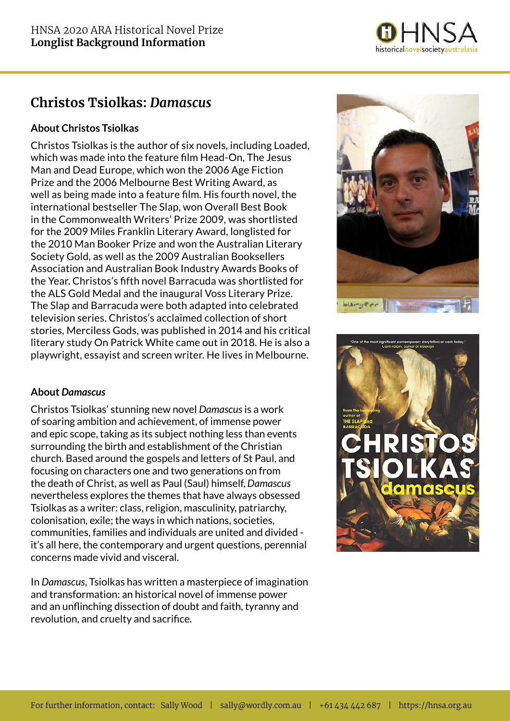

## **Christos Tsiolkas:** *Damascus*

## **About Christos Tsiolkas**

Christos Tsiolkas is the author of six novels, including Loaded, which was made into the feature film Head-On, The Jesus Man and Dead Europe, which won the 2006 Age Fiction Prize and the 2006 Melbourne Best Writing Award, as well as being made into a feature film. His fourth novel, the international bestseller The Slap, won Overall Best Book in the Commonwealth Writers' Prize 2009, was shortlisted for the 2009 Miles Franklin Literary Award, longlisted for the 2010 Man Booker Prize and won the Australian Literary Society Gold, as well as the 2009 Australian Booksellers Association and Australian Book Industry Awards Books of the Year. Christos's fifth novel Barracuda was shortlisted for the ALS Gold Medal and the inaugural Voss Literary Prize. The Slap and Barracuda were both adapted into celebrated television series. Christos's acclaimed collection of short stories, Merciless Gods, was published in 2014 and his critical literary study On Patrick White came out in 2018. He is also a playwright, essayist and screen writer. He lives in Melbourne.

#### **About** *Damascus*

Christos Tsiolkas' stunning new novel *Damascus* is a work of soaring ambition and achievement, of immense power and epic scope, taking as its subject nothing less than events surrounding the birth and establishment of the Christian church. Based around the gospels and letters of St Paul, and focusing on characters one and two generations on from the death of Christ, as well as Paul (Saul) himself, *Damascus* nevertheless explores the themes that have always obsessed Tsiolkas as a writer: class, religion, masculinity, patriarchy, colonisation, exile; the ways in which nations, societies, communities, families and individuals are united and divided it's all here, the contemporary and urgent questions, perennial concerns made vivid and visceral.

In *Damascus*, Tsiolkas has written a masterpiece of imagination and transformation: an historical novel of immense power and an unflinching dissection of doubt and faith, tyranny and revolution, and cruelty and sacrifice.



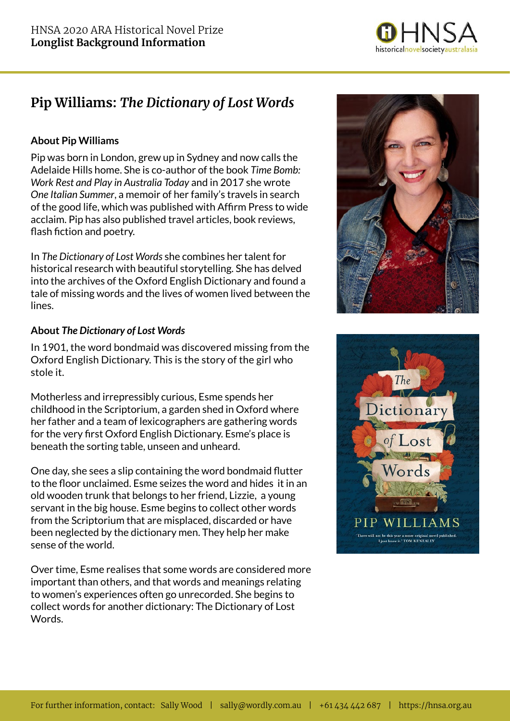

# **Pip Williams:** *The Dictionary of Lost Words*

### **About Pip Williams**

Pip was born in London, grew up in Sydney and now calls the Adelaide Hills home. She is co-author of the book *Time Bomb: Work Rest and Play in Australia Today* and in 2017 she wrote *One Italian Summer*, a memoir of her family's travels in search of the good life, which was published with Affirm Press to wide acclaim. Pip has also published travel articles, book reviews, flash fiction and poetry.

In *The Dictionary of Lost Words* she combines her talent for historical research with beautiful storytelling. She has delved into the archives of the Oxford English Dictionary and found a tale of missing words and the lives of women lived between the lines.

#### **About** *The Dictionary of Lost Words*

In 1901, the word bondmaid was discovered missing from the Oxford English Dictionary. This is the story of the girl who stole it.

Motherless and irrepressibly curious, Esme spends her childhood in the Scriptorium, a garden shed in Oxford where her father and a team of lexicographers are gathering words for the very first Oxford English Dictionary. Esme's place is beneath the sorting table, unseen and unheard.

One day, she sees a slip containing the word bondmaid flutter to the floor unclaimed. Esme seizes the word and hides it in an old wooden trunk that belongs to her friend, Lizzie, a young servant in the big house. Esme begins to collect other words from the Scriptorium that are misplaced, discarded or have been neglected by the dictionary men. They help her make sense of the world.

Over time, Esme realises that some words are considered more important than others, and that words and meanings relating to women's experiences often go unrecorded. She begins to collect words for another dictionary: The Dictionary of Lost Words.